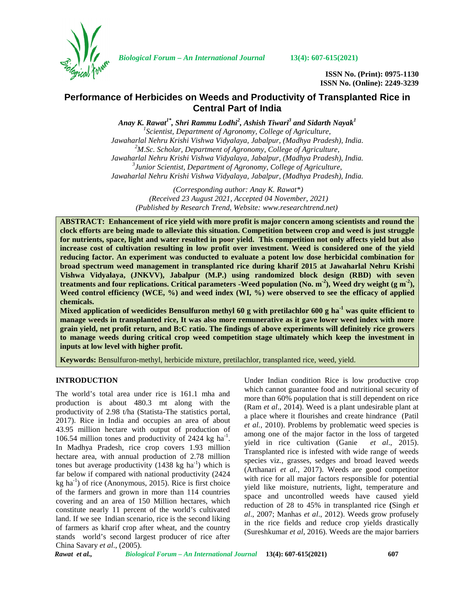

*Biological Forum – An International Journal* **13(4): 607-615(2021)**

**ISSN No. (Print): 0975-1130 ISSN No. (Online): 2249-3239**

# **Performance of Herbicides on Weeds and Productivity of Transplanted Rice in Central Part of India**

*Anay K. Rawat1\*, Shri Rammu Lodhi<sup>2</sup> , Ashish Tiwari<sup>3</sup> and Sidarth Nayak<sup>1</sup> <sup>1</sup>Scientist, Department of Agronomy, College of Agriculture, Jawaharlal Nehru Krishi Vishwa Vidyalaya, Jabalpur, (Madhya Pradesh), India. <sup>2</sup>M.Sc. Scholar, Department of Agronomy, College of Agriculture, Jawaharlal Nehru Krishi Vishwa Vidyalaya, Jabalpur, (Madhya Pradesh), India. <sup>3</sup>Junior Scientist, Department of Agronomy, College of Agriculture, Jawaharlal Nehru Krishi Vishwa Vidyalaya, Jabalpur, (Madhya Pradesh), India.*

*(Corresponding author: Anay K. Rawat\*) (Received 23 August 2021, Accepted 04 November, 2021) (Published by Research Trend, Website: <www.researchtrend.net>)*

**ABSTRACT: Enhancement of rice yield with more profit is major concern among scientists and round the clock efforts are being made to alleviate this situation. Competition between crop and weed is just struggle for nutrients, space, light and water resulted in poor yield. This competition not only affects yield but also increase cost of cultivation resulting in low profit over investment. Weed is considered one of the yield reducing factor. An experiment was conducted to evaluate a potent low dose herbicidal combination for broad spectrum weed management in transplanted rice during kharif 2015 at Jawaharlal Nehru Krishi Vishwa Vidyalaya, (JNKVV), Jabalpur (M.P.) using randomized block design (RBD) with seven treatments and four replications. Critical parameters -Weed population (No. m-2), Weed dry weight (g m-2), Weed control efficiency (WCE, %) and weed index (WI, %) were observed to see the efficacy of applied chemicals.**

**Mixed application of weedicides Bensulfuron methyl 60 g with pretilachlor 600 g ha-1 was quite efficient to manage weeds in transplanted rice, It was also more remunerative as it gave lower weed index with more grain yield, net profit return, and B:C ratio. The findings of above experiments will definitely rice growers to manage weeds during critical crop weed competition stage ultimately which keep the investment in inputs at low level with higher profit.**

**Keywords:** Bensulfuron-methyl, herbicide mixture, pretilachlor, transplanted rice, weed, yield.

## **INTRODUCTION**

The world's total area under rice is 161.1 mha and production is about 480.3 mt along with the productivity of 2.98 t/ha (Statista-The statistics portal, 2017). Rice in India and occupies an area of about 43.95 million hectare with output of production of 106.54 million tones and productivity of 2424 kg ha<sup>-1</sup>.  $\frac{a}{2}$ In Madhya Pradesh, rice crop covers 1.93 million hectare area, with annual production of 2.78 million tones but average productivity  $(1438 \text{ kg ha}^{-1})$  which is far below if compared with national productivity (2424  $kg$  ha<sup>-1</sup>) of rice (Anonymous, 2015). Rice is first choice of the farmers and grown in more than 114 countries covering and an area of 150 Million hectares, which constitute nearly 11 percent of the world's cultivated land. If we see Indian scenario, rice is the second liking of farmers as kharif crop after wheat, and the country stands world's second largest producer of rice after China Savary *et al*., (2005).

Under Indian condition Rice is low productive crop which cannot guarantee food and nutritional security of more than 60% population that is still dependent on rice (Ram *et al*., 2014). Weed is a plant undesirable plant at a place where it flourishes and create hindrance (Patil *et al.,* 2010). Problems by problematic weed species is among one of the major factor in the loss of targeted yield in rice cultivation (Ganie *et al*., 2015). Transplanted rice is infested with wide range of weeds species viz., grasses, sedges and broad leaved weeds (Arthanari *et al.,* 2017). Weeds are good competitor with rice for all major factors responsible for potential yield like moisture, nutrients, light, temperature and space and uncontrolled weeds have caused yield reduction of 28 to 45% in transplanted rice **(**Singh *et al*., 2007; Manhas *et al*., 2012). Weeds grow profusely in the rice fields and reduce crop yields drastically (Sureshkumar *et al*, 2016). Weeds are the major barriers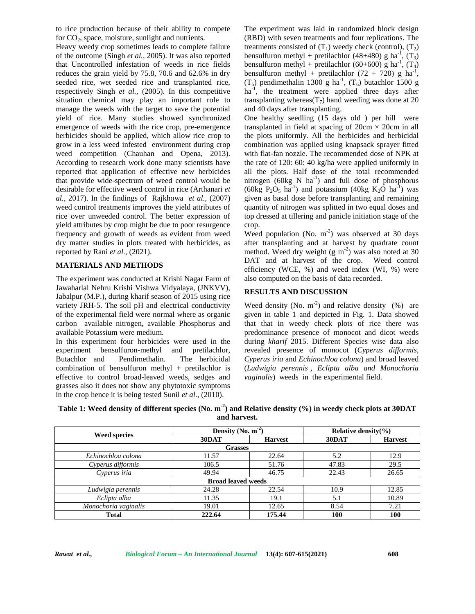to rice production because of their ability to compete for  $CO<sub>2</sub>$ , space, moisture, sunlight and nutrients.

Heavy weedy crop sometimes leads to complete failure of the outcome (Singh *et al.,* 2005). It was also reported that Uncontrolled infestation of weeds in rice fields reduces the grain yield by 75.8, 70.6 and 62.6% in dry seeded rice, wet seeded rice and transplanted rice, respectively Singh *et al.,* (2005). In this competitive situation chemical may play an important role to manage the weeds with the target to save the potential yield of rice. Many studies showed synchronized emergence of weeds with the rice crop, pre-emergence herbicides should be applied, which allow rice crop to grow in a less weed infested environment during crop weed competition (Chauhan and Opena, 2013). According to research work done many scientists have reported that application of effective new herbicides that provide wide-spectrum of weed control would be desirable for effective weed control in rice (Arthanari *et al.,* 2017). In the findings of Rajkhowa *et al.,* (2007) weed control treatments improves the yield attributes of rice over unweeded control. The better expression of yield attributes by crop might be due to poor resurgence frequency and growth of weeds as evident from weed dry matter studies in plots treated with herbicides, as reported by Rani *et al.,* (2021).

#### **MATERIALS AND METHODS**

The experiment was conducted at Krishi Nagar Farm of Jawaharlal Nehru Krishi Vishwa Vidyalaya, (JNKVV), Jabalpur (M.P.), during kharif season of 2015 using rice variety JRH-5. The soil pH and electrical conductivity of the experimental field were normal where as organic carbon available nitrogen, available Phosphorus and available Potassium were medium.

In this experiment four herbicides were used in the experiment bensulfuron-methyl and pretilachlor, Butachlor and Pendimethalin. The herbicidal combination of bensulfuron methyl + pretilachlor is effective to control broad-leaved weeds, sedges and grasses also it does not show any phytotoxic symptoms in the crop hence it is being tested Sunil *et al*., (2010).

The experiment was laid in randomized block design (RBD) with seven treatments and four replications. The treatments consisted of  $(T_1)$  weedy check (control),  $(T_2)$ bensulfuron methyl + pretilachlor (48+480) g ha<sup>-1</sup>,  $(T_3)$ bensulfuron methyl + pretilachlor (60+600) g ha<sup>-1</sup>, (T<sub>4</sub>) bensulfuron methyl + pretilachlor  $(72 + 720)$  g ha<sup>-1</sup>,  $(T_5)$  pendimethalin 1300 g ha<sup>-1</sup>,  $(T_6)$  butachlor 1500 g ha<sup>-1</sup>, the treatment were applied three days after transplanting whereas( $T_7$ ) hand weeding was done at 20 and 40 days after transplanting.

One healthy seedling (15 days old ) per hill were transplanted in field at spacing of  $20 \text{cm} \times 20 \text{cm}$  in all the plots uniformly. All the herbicides and herbicidal combination was applied using knapsack sprayer fitted with flat-fan nozzle. The recommended dose of NPK at the rate of 120: 60: 40 kg/ha were applied uniformly in all the plots. Half dose of the total recommended nitrogen (60 $kg \text{ N}$  ha<sup>-1</sup>) and full dose of phosphorus (60kg  $P_2O_5$  ha<sup>-1</sup>) and potassium (40kg  $K_2O$  ha<sup>-1</sup>) was given as basal dose before transplanting and remaining quantity of nitrogen was splitted in two equal doses and top dressed at tillering and panicle initiation stage of the crop.

Weed population (No.  $m^{-2}$ ) was observed at 30 days after transplanting and at harvest by quadrate count method. Weed dry weight  $(g m<sup>-2</sup>)$  was also noted at 30 DAT and at harvest of the crop. Weed control efficiency (WCE, %) and weed index (WI, %) were also computed on the basis of data recorded.

### **RESULTS AND DISCUSSION**

Weed density (No.  $m^{-2}$ ) and relative density (%) are given in table 1 and depicted in Fig. 1. Data showed that that in weedy check plots of rice there was predominance presence of monocot and dicot weeds during *kharif* 2015. Different Species wise data also revealed presence of monocot (*Cyperus difformis, Cyperus iria* and *Echinochloa colona*) and broad leaved (*Ludwigia perennis , Eclipta alba and Monochoria vaginalis*) weeds in the experimental field.

| Table 1: Weed density of different species (No. m <sup>-2</sup> ) and Relative density (%) in weedy check plots at 30DAT |  |
|--------------------------------------------------------------------------------------------------------------------------|--|
| and harvest.                                                                                                             |  |

|                      | Density (No. $m^{-2}$ )   |                | Relative density $\%$ |                |
|----------------------|---------------------------|----------------|-----------------------|----------------|
| <b>Weed species</b>  | 30DAT                     | <b>Harvest</b> | 30DAT                 | <b>Harvest</b> |
|                      | <b>Grasses</b>            |                |                       |                |
| Echinochloa colona   | 11.57                     | 22.64          | 5.2                   | 12.9           |
| Cyperus difformis    | 106.5                     | 51.76          | 47.83                 | 29.5           |
| Cyperus iria         | 49.94                     | 46.75          | 22.43                 | 26.65          |
|                      | <b>Broad leaved weeds</b> |                |                       |                |
| Ludwigia perennis    | 24.28                     | 22.54          | 10.9                  | 12.85          |
| Eclipta alba         | 11.35                     | 19.1           | 5.1                   | 10.89          |
| Monochoria vaginalis | 19.01                     | 12.65          | 8.54                  | 7.21           |
| <b>Total</b>         | 222.64                    | 175.44         | 100                   | 100            |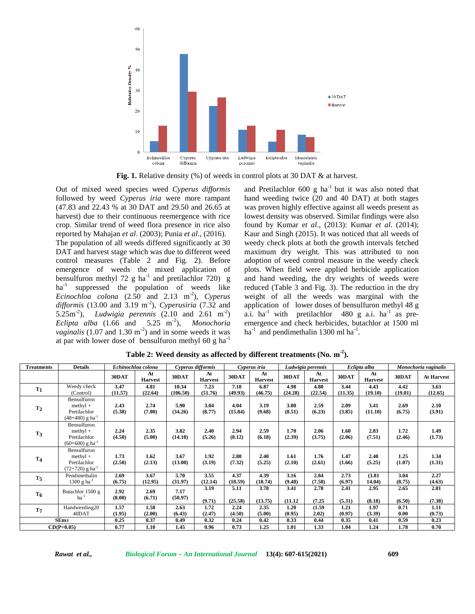

**Fig. 1.** Relative density (%) of weeds in control plots at 30 DAT & at harvest.

Out of mixed weed species weed *Cyperus difformis* followed by weed *Cyperus iria* were more rampant (47.83 and 22.43 % at 30 DAT and 29.50 and 26.65 at harvest) due to their continuous reemergence with rice crop. Similar trend of weed flora presence in rice also reported by Mahajan *et al*. (2003); Punia *et al*., (2016). The population of all weeds differed significantly at 30 DAT and harvest stage which was due to different weed control measures (Table 2 and Fig. 2). Before emergence of weeds the mixed application of bensulfuron methyl 72 g ha<sup>-1</sup> and pretilachlor 720) g ha<sup>-1</sup> suppressed the population of weeds like *Ecinochloa colona* (2.50 and 2.13 m<sup>-2</sup>), *Cyperus difformis* (13.00 and 3.19 m<sup>-2</sup>), *Cyperusiria* (7.32 and  $5.25 \text{m}^2$ ), *Ludwigia perennis* (2.10 and 2.61 m<sup>-2</sup>) a.  $Eclipta$  alba  $(1.66$  and  $5.25$  m<sup>-2</sup>), *Monochoria* emer *vaginalis* (1.07 and 1.30  $m<sup>-2</sup>$ ) and in some weeds it was ha at par with lower dose of bensulfuron methyl 60 g ha-1

and Pretilachlor  $600 \text{ g}$  ha<sup>-1</sup> but it was also noted that hand weeding twice (20 and 40 DAT) at both stages was proven highly effective against all weeds present as lowest density was observed. Similar findings were also found by Kumar *et al*., (2013): Kumar *et al*. (2014); Kaur and Singh (2015). It was noticed that all weeds of weedy check plots at both the growth intervals fetched maximum dryweight. This was attributed to non adoption of weed control measure in the weedy check plots. When field were applied herbicide application and hand weeding, the dry weights of weeds were reduced (Table 3 and Fig. 3). The reduction in the dry weight of all the weeds was marginal with the application of lower doses of bensulfuron methyl 48 g a.i. ha<sup>-1</sup> with pretilachlor 480 g a.i. ha<sup>-1</sup> as preemergence and check herbicides, butachlor at 1500 ml  $ha^{-1}$  and pendimethalin 1300 ml  $ha^{-1}$ .

| Treatments     | <b>Details</b>                |         | Echinochloa colona   |          | Cyperus difformis    |         | Cyperus iria         |         | Ludwigia perennis    |         | Eclipta alba         |         | Monochoria vaginalis |
|----------------|-------------------------------|---------|----------------------|----------|----------------------|---------|----------------------|---------|----------------------|---------|----------------------|---------|----------------------|
|                |                               | 30DAT   | At<br><b>Harvest</b> | 30DAT    | At<br><b>Harvest</b> | 30DAT   | At<br><b>Harvest</b> | 30DAT   | At<br><b>Harvest</b> | 30DAT   | At<br><b>Harvest</b> | 30DAT   | <b>At Harvest</b>    |
| $T_1$          | Weedy check                   | 3.47    | 4.81                 | 10.34    | 7.23                 | 7.10    | 6.87                 | 4.98    | 4.80                 | 3.44    | 4.43                 | 4.42    | 3.63                 |
|                | (Control)                     | (11.57) | (22.64)              | (106.50) | (51.76)              | (49.93) | (46.75)              | (24.28) | (22.54)              | (11.35) | (19.10)              | (19.01) | (12.65)              |
|                | Bensulfuron                   |         |                      |          |                      |         |                      |         |                      |         |                      |         |                      |
| T <sub>2</sub> | $methyl +$                    | 2.43    | 2.74                 | 5.90     | 3.04                 | 4.04    | 3.19                 | 3.00    | 2.59                 | 2.09    | 3.41                 | 2.69    | 2.10                 |
|                | Pretilachlor                  | (5.38)  | (7.00)               | (34.26)  | (8.77)               | (15.84) | (9.68)               | (8.51)  | (6.23)               | (3.85)  | (11.10)              | (6.75)  | (3.91)               |
|                | $(48+480)$ g ha <sup>-1</sup> |         |                      |          |                      |         |                      |         |                      |         |                      |         |                      |
|                | Bensulfuron                   |         |                      |          |                      |         |                      |         |                      |         |                      |         |                      |
| T <sub>3</sub> | $methyl +$                    | 2.24    | 2.35                 | 3.82     | 2.40                 | 2.94    | 2.59                 | 1.70    | 2.06                 | 1.60    | 2.83                 | 1.72    | 1.49                 |
|                | Pretilachlor                  | (4.50)  | (5.00)               | (14.10)  | (5.26)               | (8.12)  | (6.18)               | (2.39)  | (3.75)               | (2.06)  | (7.51)               | (2.46)  | (1.73)               |
|                | $(60+600)$ g ha <sup>-1</sup> |         |                      |          |                      |         |                      |         |                      |         |                      |         |                      |
|                | Bensulfuron                   |         |                      |          |                      |         |                      |         |                      |         |                      |         |                      |
| T <sub>4</sub> | $methyl +$                    | 1.73    | 1.62                 | 3.67     | 1.92                 | 2.80    | 2.40                 | 1.61    | 1.76                 | 1.47    | 2.40                 | 1.25    | 1.34                 |
|                | Pretilachlor                  | (2.50)  | (2.13)               | (13.00)  | (3.19)               | (7.32)  | (5.25)               | (2.10)  | (2.61)               | (1.66)  | (5.25)               | (1.07)  | (1.31)               |
|                | $(72+720)$ g ha <sup>-1</sup> |         |                      |          |                      |         |                      |         |                      |         |                      |         |                      |
| $T_5$          | Pendimethalin                 | 2.69    | 3.67                 | 5.70     | 3.55                 | 4.37    | 4.39                 | 3.16    | 2.84                 | 2.73    | (3.81)               | 3.04    | 2.27                 |
|                | $1300 g h a^{-1}$             | (6.75)  | (12.95)              | (31.97)  | (12.14)              | (18.59) | (18.74)              | (9.48)  | (7.58)               | (6.97)  | 14.04)               | (8.75)  | (4.63)               |
|                | Butachlor 1500 g              | 2.92    | 2.69                 | 7.17     | 3.19                 | 5.11    | 3.78                 | 3.41    | 2.78                 | 2.41    | 2.95                 | 2.65    | 2.81                 |
| T <sub>6</sub> | $ha^{-1}$                     | (8.00)  | (6.71)               | (50.97)  | (9.71)               | (25.58) | (13.75)              | (11.12) | (7.25)               | (5.31)  | (8.18)               | (6.50)  | (7.38)               |
| $T_{7}$        | Handweeding20                 | 1.57    | 1.58                 | 2.63     | 1.72                 | 2.24    | 2.35                 | 1.20    | (1.59)               | 1.21    | 1.97                 | 0.71    | 1.11                 |
|                | 40DAT                         | (1.95)  | (2.00)               | (6.43)   | (2.47)               | (4.50)  | (5.00)               | (0.95)  | 2.02)                | (0.97)  | (3.39)               | 0.00    | (0.73)               |
|                | $SEm\pm$                      | 0.25    | 0.37                 | 0.49     | 0.32                 | 0.24    | 0.42                 | 0.33    | 0.44                 | 0.35    | 0.41                 | 0.59    | 0.23                 |
|                | $CD(P=0.05)$                  | 0.77    | 1.10                 | 1.45     | 0.96                 | 0.73    | 1.25                 | 1.01    | 1.33                 | 1.04    | 1.24                 | 1.78    | 0.70                 |

**Table 2: Weed density as affected by different treatments (No. m -2).**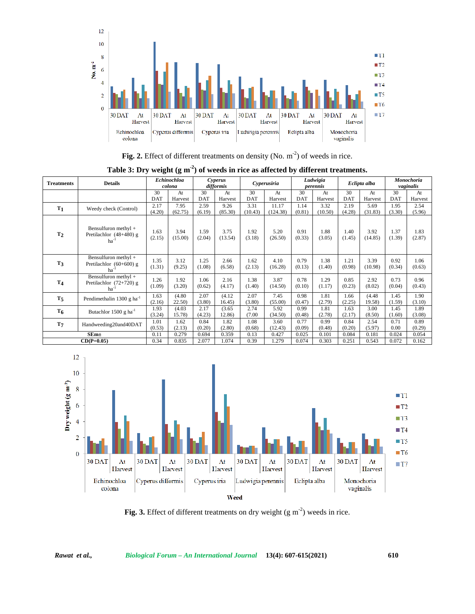

**Fig. 2.** Effect of different treatments on density (No.  $m<sup>-2</sup>$ ) of weeds in rice.

|  |  |  |  | Table 3: Dry weight $(g m2)$ of weeds in rice as affected by different treatments. |  |
|--|--|--|--|------------------------------------------------------------------------------------|--|
|  |  |  |  |                                                                                    |  |

| <b>Treatments</b> | <b>Details</b>                                                       |                | <b>Echinochloa</b><br>colona |                | Cyperus<br>difformis |                 | Cyperusiria       |                | Ludwigia<br>perennis |                | Eclipta alba     |                | Monochoria<br>vaginalis |
|-------------------|----------------------------------------------------------------------|----------------|------------------------------|----------------|----------------------|-----------------|-------------------|----------------|----------------------|----------------|------------------|----------------|-------------------------|
|                   |                                                                      | 30             | At                           | 30             | At                   | 30              | At                | 30             | At                   | 30             | At               | 30             | At                      |
|                   |                                                                      | <b>DAT</b>     | Harvest                      | <b>DAT</b>     | Harvest              | <b>DAT</b>      | Harvest           | <b>DAT</b>     | Harvest              | <b>DAT</b>     | Harvest          | <b>DAT</b>     | Harvest                 |
| T <sub>1</sub>    | Weedy check (Control)                                                | 2.17<br>(4.20) | 7.95<br>(62.75)              | 2.59<br>(6.19) | 9.26<br>(85.30)      | 3.31<br>(10.43) | 11.17<br>(124.38) | 1.14<br>(0.81) | 3.32<br>(10.50)      | 2.19<br>(4.28) | 5.69<br>(31.83)  | 1.95<br>(3.30) | 2.54<br>(5.96)          |
| T <sub>2</sub>    | Bensulfuron methyl +<br>Pretilachlor $(48+480)$ g<br>ha <sup>-</sup> | 1.63<br>(2.15) | 3.94<br>(15.00)              | 1.59<br>(2.04) | 3.75<br>(13.54)      | 1.92<br>(3.18)  | 5.20<br>(26.50)   | 0.91<br>(0.33) | 1.88<br>(3.05)       | 1.40<br>(1.45) | 3.92<br>(14.85)  | 1.37<br>(1.39) | 1.83<br>(2.87)          |
| T <sub>3</sub>    | Bensulfuron methyl +<br>Pretilachlor (60+600) g<br>ha <sup>-</sup>   | 1.35<br>(1.31) | 3.12<br>(9.25)               | 1.25<br>(1.08) | 2.66<br>(6.58)       | 1.62<br>(2.13)  | 4.10<br>(16.28)   | 0.79<br>(0.13) | 1.38<br>(1.40)       | 1.21<br>(0.98) | 3.39<br>(10.98)  | 0.92<br>(0.34) | 1.06<br>(0.63)          |
| T <sub>4</sub>    | Bensulfuron methyl +<br>Pretilachlor $(72+720)$ g<br>ha <sup>-</sup> | 1.26<br>(1.09) | 1.92<br>(3.20)               | 1.06<br>(0.62) | 2.16<br>(4.17)       | 1.38<br>(1.40)  | 3.87<br>(14.50)   | 0.78<br>(0.10) | 1.29<br>(1.17)       | 0.85<br>(0.23) | 2.92<br>(8.02)   | 0.73<br>(0.04) | 0.96<br>(0.43)          |
| T <sub>5</sub>    | Pendimethalin 1300 g ha <sup>-1</sup>                                | 1.63<br>(2.16) | (4.80)<br>22.50              | 2.07<br>(3.80) | (4.12)<br>16.45)     | 2.07<br>(3.80)  | 7.45<br>(55.00)   | 0.98<br>(0.47) | 1.81<br>(2.79)       | 1.66<br>(2.25) | (4.48)<br>19.58) | 1.45<br>(1.59) | 1.90<br>(3.10)          |
| $T_6$             | Butachlor 1500 g ha $^{-1}$                                          | 1.93<br>(3.24) | (4.03)<br>15.78)             | 2.17<br>(4.23) | (3.65)<br>12.86)     | 2.74<br>(7.00)  | 5.92<br>(34.50)   | 0.99<br>(0.48) | 1.81<br>(2.78)       | 1.63<br>(2.17) | 3.00<br>(8.50)   | 1.45<br>(1.60) | 1.89<br>(3.08)          |
| T <sub>7</sub>    | Handweeding20and40DAT                                                | 1.01<br>(0.53) | 1.62<br>(2.13)               | 0.84<br>(0.20) | 1.82<br>(2.80)       | 1.08<br>(0.68)  | 3.60<br>(12.43)   | 0.77<br>(0.09) | 0.99<br>(0.48)       | 0.84<br>(0.20) | 2.54<br>(5.97)   | 0.71<br>0.00   | 0.89<br>(0.29)          |
|                   | $SEm+$                                                               | 0.11           | 0.279                        | 0.694          | 0.359                | 0.13            | 0.427             | 0.025          | 0.101                | 0.084          | 0.181            | 0.024          | 0.054                   |
|                   | $CD(P=0.05)$                                                         | 0.34           | 0.835                        | 2.077          | 1.074                | 0.39            | 1.279             | 0.074          | 0.303                | 0.251          | 0.543            | 0.072          | 0.162                   |



Fig. 3. Effect of different treatments on dry weight (g m<sup>-2</sup>) weeds in rice.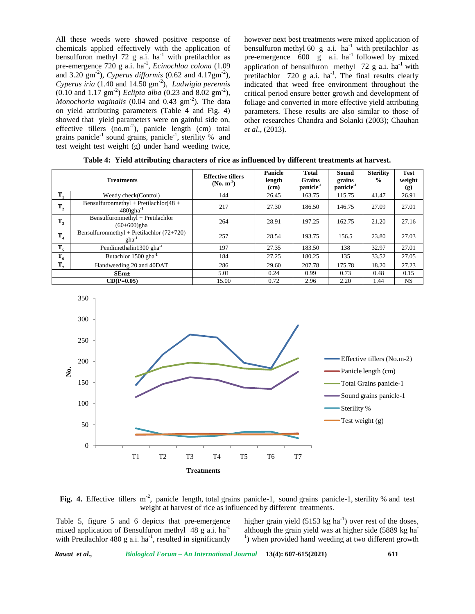All these weeds were showed positive response of chemicals applied effectively with the application of bensulfuron methyl 72 g a.i.  $ha^{-1}$  with pretilachlor as pre-emergence 720 g a.i. ha<sup>-1</sup>, *Ecinochloa colona* (1.09 appli and 3.20  $\text{gm}^2$ ), *Cyperus difformis* (0.62 and 4.17 $\text{gm}^2$ ), pretilac *Cyperus iria* (1.40 and 14.50 gm -2), *Ludwigia perennis*  $(0.10 \text{ and } 1.17 \text{ gm}^{-2})$  *Eclipta alba*  $(0.23 \text{ and } 8.02 \text{ gm}^{-2})$ , critical *Monochoria vaginalis*  $(0.04 \text{ and } 0.43 \text{ gm}^2)$ . The data foli on yield attributing parameters (Table 4 and Fig. 4) showed that yield parameters were on gainful side on, effective tillers  $(no.m<sup>-2</sup>)$ , panicle length  $(cm)$  total grains panicle<sup>-1</sup> sound grains, panicle<sup>-1</sup>, sterility % and test weight test weight (g) under hand weeding twice,

however next best treatments were mixed application of bensulfuron methyl 60 g a.i. ha<sup>-1</sup> with pretilachlor as pre-emergence  $600 \text{ g}$  a.i. ha<sup>-1</sup> followed by mixed application of bensulfuron methyl  $72$  g a.i. ha<sup>-1</sup> with pretilachlor  $720 \text{ g a.i.}$  ha<sup>-1</sup>. The final results clearly indicated that weed free environment throughout the critical period ensure better growth and development of foliage and converted in more effective yield attributing parameters. These results are also similar to those of other researches Chandra and Solanki (2003); Chauhan *et al*., (2013)*.*

|  |  |  |  | Table 4: Yield attributing characters of rice as influenced by different treatments at harvest. |  |
|--|--|--|--|-------------------------------------------------------------------------------------------------|--|
|--|--|--|--|-------------------------------------------------------------------------------------------------|--|

|                | <b>Treatments</b>                                                 | <b>Effective tillers</b><br>$(No. m-2)$ | Panicle<br>length<br>(cm) | <b>Total</b><br><b>Grains</b><br>panicle <sup>-1</sup> | Sound<br>grains<br>panicle <sup>-1</sup> | <b>Sterility</b><br>$\frac{6}{9}$ | <b>Test</b><br>weight<br>$\left( \mathbf{g} \right)$ |
|----------------|-------------------------------------------------------------------|-----------------------------------------|---------------------------|--------------------------------------------------------|------------------------------------------|-----------------------------------|------------------------------------------------------|
| $\mathbf{T}_1$ | Weedy check(Control)                                              | 144                                     | 26.45                     | 163.75                                                 | 115.75                                   | 41.47                             | 26.91                                                |
| $T_{2}$        | Bensulfuronmethyl + Pretilachlor(48 +<br>$480)$ gha <sup>-1</sup> | 217                                     | 27.30                     | 186.50                                                 | 146.75                                   | 27.09                             | 27.01                                                |
| $T_3$          | Bensulfuronmethyl + Pretilachlor<br>$(60+600)$ gha                | 264                                     | 28.91                     | 197.25                                                 | 162.75                                   | 21.20                             | 27.16                                                |
| T <sub>4</sub> | Bensulfuronmethyl + Pretilachlor $(72+720)$<br>$gha^{-1}$         | 257                                     | 28.54                     | 193.75                                                 | 156.5                                    | 23.80                             | 27.03                                                |
| $T_{5}$        | Pendimethalin1300 gha <sup>-1</sup>                               | 197                                     | 27.35                     | 183.50                                                 | 138                                      | 32.97                             | 27.01                                                |
| $T_{6}$        | Butachlor 1500 gha <sup>-1</sup>                                  | 184                                     | 27.25                     | 180.25                                                 | 135                                      | 33.52                             | 27.05                                                |
| $T_{7}$        | Handweeding 20 and 40DAT                                          | 286                                     | 29.60                     | 207.78                                                 | 175.78                                   | 18.20                             | 27.23                                                |
|                | $SEm\pm$                                                          | 5.01                                    | 0.24                      | 0.99                                                   | 0.73                                     | 0.48                              | 0.15                                                 |
|                | $CD(P=0.05)$                                                      | 15.00                                   | 0.72                      | 2.96                                                   | 2.20                                     | 1.44                              | NS.                                                  |



Fig. 4. Effective tillers m<sup>-2</sup>, panicle length, total grains panicle-1, sound grains panicle-1, sterility % and test weight at harvest of rice as influenced by different treatments.

Table 5, figure 5 and 6 depicts that pre-emergence mixed application of Bensulfuron methyl 48 g a.i. ha<sup>-1</sup> although the grain yield was at higher side (5889 kg ha<sup>-1</sup>) with Pretilachlor 480 g a.i. ha<sup>-1</sup>, resulted in significantly  $1)$  wl

higher grain yield  $(5153 \text{ kg ha}^{-1})$  over rest of the doses, <sup>1</sup>) when provided hand weeding at two different growth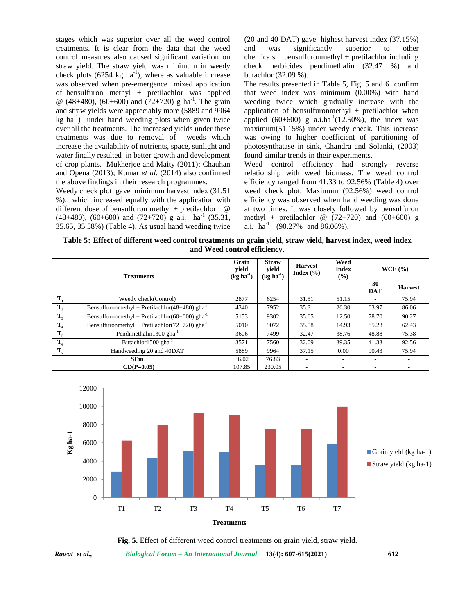stages which was superior over all the weed control treatments. It is clear from the data that the weed control measures also caused significant variation on straw yield. The straw yield was minimum in weedy check plots  $(6254 \text{ kg ha}^{-1})$ , where as valuable increase was observed when pre-emergence mixed application of bensulfuron methyl + pretilachlor was applied  $\omega$  (48+480), (60+600) and (72+720) g ha<sup>-1</sup>. The grain weed and straw yields were appreciably more (5889 and 9964  $kg$  ha<sup>-1</sup>) under hand weeding plots when given twice over all the treatments. The increased yields under these treatments was due to removal of weeds which increase the availability of nutrients, space, sunlight and water finally resulted in better growth and development of crop plants. Mukherjee and Maity (2011); Chauhan and Opena (2013); Kumar *et al*. (2014) also confirmed the above findings in their research programmes.

Weedy check plot gave minimum harvest index (31.51 %), which increased equally with the application with different dose of bensulfuron methyl + pretilachlor  $\omega$  $(48+480)$ ,  $(60+600)$  and  $(72+720)$  g a.i. ha<sup>-1</sup>  $(35.31,$ 35.65, 35.58%) (Table 4). As usual hand weeding twice (20 and 40 DAT) gave highest harvest index (37.15%) was significantly superior to other  $bensulfuronmethyl + pretilachlor including$ check herbicides pendimethalin (32.47 %) and butachlor (32.09 %).

The results presented in Table 5, Fig. 5 and 6 confirm that weed index was minimum (0.00%) with hand weeding twice which gradually increase with the application of bensulfuronmethyl + pretilachlor when applied  $(60+600)$  g a.i.ha<sup>-1</sup> $(12.50\%)$ , the index was maximum(51.15%) under weedy check. This increase was owing to higher coefficient of partitioning of photosynthatase in sink, Chandra and Solanki, (2003) found similar trends in their experiments.

Weed control efficiency had strongly reverse relationship with weed biomass. The weed control efficiency ranged from 41.33 to 92.56% (Table 4) over weed check plot. Maximum (92.56%) weed control efficiency was observed when hand weeding was done at two times. It was closely followed by bensulfuron methyl + pretilachlor  $@ (72+720)$  and  $(60+600)$  g a.i.  $ha^{-1}$  (90.27% and 86.06%).

Table 5: Effect of different weed control treatments on grain yield, straw yield, harvest index, weed index **and Weed control efficiency.**

|                | <b>Treatments</b>                                          | Grain<br>vield<br>$(kg ha-1)$ | <b>Straw</b><br>yield<br>$(\text{kg} \text{ha}^{-1})$ | <b>Harvest</b><br>Index $(\% )$ | Weed<br><b>Index</b><br>$\frac{6}{2}$ |                  | $WCE($ %)      |
|----------------|------------------------------------------------------------|-------------------------------|-------------------------------------------------------|---------------------------------|---------------------------------------|------------------|----------------|
|                |                                                            |                               |                                                       |                                 |                                       | 30<br><b>DAT</b> | <b>Harvest</b> |
| Т,             | Weedy check(Control)                                       | 2877                          | 6254                                                  | 31.51                           | 51.15                                 |                  | 75.94          |
| $T_{2}$        | Bensulfuronmethyl + Pretilachlor(48+480) gha <sup>-1</sup> | 4340                          | 7952                                                  | 35.31                           | 26.30                                 | 63.97            | 86.06          |
| $T_3$          | Bensulfuronmethyl + Pretilachlor(60+600) gha <sup>-1</sup> | 5153                          | 9302                                                  | 35.65                           | 12.50                                 | 78.70            | 90.27          |
| $T_{4}$        | Bensulfuronmethyl + Pretilachlor(72+720) gha $^{-1}$       | 5010                          | 9072                                                  | 35.58                           | 14.93                                 | 85.23            | 62.43          |
| $T_5$          | Pendimethalin1300 $gha^{-1}$                               | 3606                          | 7499                                                  | 32.47                           | 38.76                                 | 48.88            | 75.38          |
| $T_{6}$        | Butachlor1500 $gha^{-1}$                                   | 3571                          | 7560                                                  | 32.09                           | 39.35                                 | 41.33            | 92.56          |
| $\mathbf{T}_7$ | Handweeding 20 and 40DAT                                   | 5889                          | 9964                                                  | 37.15                           | 0.00                                  | 90.43            | 75.94          |
|                | SEm <sub>±</sub>                                           | 36.02                         | 76.83                                                 | ۰                               | ۰                                     | ٠                | ۰              |
|                | $CD(P=0.05)$                                               | 107.85                        | 230.05                                                | ۰                               | ٠                                     | ٠                | ۰              |



**Fig. 5.** Effect of different weed control treatments on grain yield, straw yield.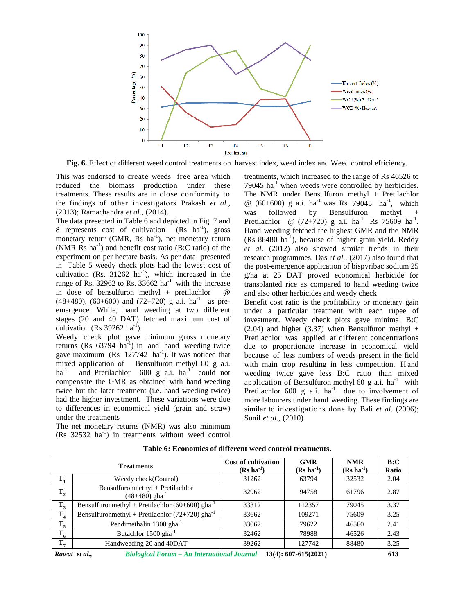

**Fig. 6.** Effect of different weed control treatments on harvest index, weed index and Weed control efficiency.

This was endorsed to create weeds free area which reduced the biomass production under these treatments. These results are in close conformity to the findings of other investigators Prakash *et al.,* (2013); Ramachandra *et al*., (2014).

The data presented in Table 6 and depicted in Fig. 7 and 8 represents cost of cultivation  $(Rs \text{ ha}^{-1})$ , gross monetary returr (GMR, Rs ha<sup>-1</sup>), net monetary return (NMR  $\text{Rs}$  ha<sup>-1</sup>) and benefit cost ratio (B:C ratio) of the experiment on per hectare basis. As per data presented in Table 5 weedy check plots had the lowest cost of cultivation (Rs.  $31262 \text{ ha}^{-1}$ ), which increased in the g/ha range of Rs. 32962 to Rs. 33662  $ha^{-1}$  with the increase in dose of bensulfuron methyl + pretilachlor @  $(48+480)$ ,  $(60+600)$  and  $(72+720)$  g a.i. ha<sup>-1</sup> as preemergence. While, hand weeding at two different stages (20 and 40 DAT) fetched maximum cost of cultivation (Rs  $39262$  ha<sup>-1</sup>).

Weedy check plot gave minimum gross monetary returns  $(Rs 63794 ha<sup>-1</sup>)$  in and hand weeding twice gave maximum (Rs  $127742$  ha<sup>-1</sup>). It was noticed that mixed application of Bensulfuron methyl 60 g a.i. ha<sup>-1</sup> and Pretilachlor 600 g a.i. ha<sup>-1</sup> could not compensate the GMR as obtained with hand weeding twice but the later treatment (i.e. hand weeding twice) had the higher investment. These variations were due to differences in economical yield (grain and straw) under the treatments

The net monetary returns (NMR) was also minimum  $(Rs \t32532 \text{ ha}^{-1})$  in treatments without weed control

treatments, which increased to the range of Rs 46526 to  $79045$  ha<sup>-1</sup> when weeds were controlled by herbicides. The NMR under Bensulfuron methyl + Pretilachlor  $\omega$  (60+600) g a.i. ha<sup>-1</sup> was Rs. 79045 ha<sup>-1</sup>, which was followed by Bensulfuron methyl Pretilachlor @  $(72+720)$  g a.i. ha<sup>-1</sup> Rs 75609 ha<sup>-1</sup>. Hand weeding fetched the highest GMR and the NMR  $(Rs 88480 ha<sup>-1</sup>)$ , because of higher grain yield. Reddy *et al*. (2012) also showed similar trends in their research programmes. Das *et al.,* (2017) also found that the post-emergence application of bispyribac sodium 25 g/ha at 25 DAT proved economical herbicide for transplanted rice as compared to hand weeding twice and also other herbicides and weedy check

Benefit cost ratio is the profitability or monetary gain under a particular treatment with each rupee of investment. Weedy check plots gave minimal B:C  $(2.04)$  and higher  $(3.37)$  when Bensulfuron methyl + Pretilachlor was applied at different concentrations due to proportionate increase in economical yield because of less numbers of weeds present in the field with main crop resulting in less competition. H and weeding twice gave less B:C ratio than mixed application of Bensulfuron methyl 60 g a.i.  $ha^{-1}$  with Pretilachlor  $600 \text{ g}$  a.i. ha<sup>-1</sup> due to involvement of more labourers under hand weeding. These findings are similar to investigations done by Bali *et al*. (2006); Sunil *et al*., (2010)

|                | <b>Treatments</b>                                                | <b>Cost of cultivation</b><br>$(Rs \text{ ha}^{-1})$ | <b>GMR</b><br>$(Rs ha^{-1})$ | <b>NMR</b><br>$(Rs \text{ ha}^{-1})$ | B:C<br>Ratio |
|----------------|------------------------------------------------------------------|------------------------------------------------------|------------------------------|--------------------------------------|--------------|
|                | Weedy check(Control)                                             | 31262                                                | 63794                        | 32532                                | 2.04         |
| $T_{2}$        | Bensulfuronmethyl + Pretilachlor<br>$(48+480)$ gha <sup>-1</sup> | 32962                                                | 94758                        | 61796                                | 2.87         |
| T,             | Bensulfuronmethyl + Pretilachlor (60+600) gha <sup>-1</sup>      | 33312                                                | 112357                       | 79045                                | 3.37         |
| $\mathbf{T}_4$ | Bensulfuronmethyl + Pretilachlor (72+720) gha <sup>-1</sup>      | 33662                                                | 109271                       | 75609                                | 3.25         |
| $T_{5}$        | Pendimethalin $1300$ gha <sup>-1</sup>                           | 33062                                                | 79622                        | 46560                                | 2.41         |
| $T_6$          | Butachlor 1500 gha <sup>-1</sup>                                 | 32462                                                | 78988                        | 46526                                | 2.43         |
| $T_{\pi}$      | Handweeding 20 and 40DAT                                         | 39262                                                | 127742                       | 88480                                | 3.25         |
|                |                                                                  |                                                      |                              |                                      |              |

**Table 6: Economics of different weed control treatments.**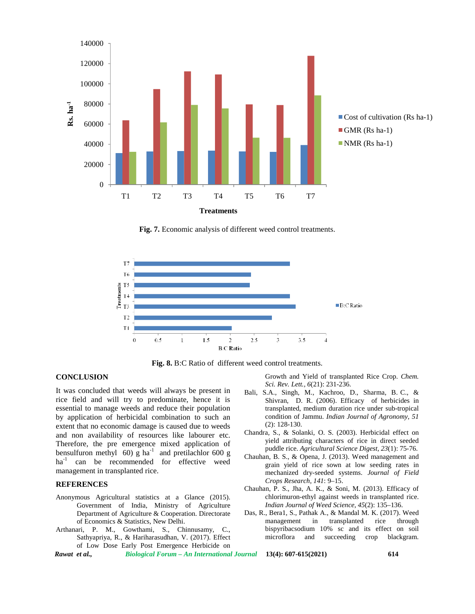

**Fig. 7.** Economic analysis of different weed control treatments.



**Fig. 8.** B:C Ratio of different weed control treatments.

#### **CONCLUSION**

It was concluded that weeds will always be present in rice field and will try to predominate, hence it is essential to manage weeds and reduce their population by application of herbicidal combination to such an extent that no economic damage is caused due to weeds and non availability of resources like labourer etc. Therefore, the pre emergence mixed application of bensulfuron methyl 60) g ha<sup>-1</sup> and pretilachlor 600 g ha<sup>-1</sup> can be recommended for effective weed management in transplanted rice.

#### **REFERENCES**

- Anonymous Agricultural statistics at a Glance (2015). Government of India, Ministry of Agriculture Department of Agriculture & Cooperation. Directorate of Economics & Statistics, New Delhi.
- Arthanari, P. M., Gowthami, S., Chinnusamy, C., Sathyapriya, R., & Hariharasudhan, V. (2017). Effect of Low Dose Early Post Emergence Herbicide on

Growth and Yield of transplanted Rice Crop. *Chem. Sci. Rev. Lett., 6*(21): 231-236.

- Bali, S.A., Singh, M., Kachroo, D., Sharma, B. C., & Shivran, D. R. (2006). Efficacy of herbicides in transplanted, medium duration rice under sub-tropical condition of Jammu. *Indian Journal of Agronomy, 51* (2): 128-130.
- Chandra, S., & Solanki, O. S. (2003). Herbicidal effect on yield attributing characters of rice in direct seeded puddle rice. *Agricultural Science Digest, 23*(1): 75-76.
- Chauhan, B. S., & Opena, J. (2013). Weed management and grain yield of rice sown at low seeding rates in mechanized dry-seeded systems. *Journal of Field Crops Research, 141*: 9–15.
- Chauhan, P. S., Jha, A. K., & Soni, M. (2013). Efficacy of chlorimuron-ethyl against weeds in transplanted rice. *Indian Journal of Weed Science, 45*(2): 135–136.
- Das, R., Bera1, S., Pathak A., & Mandal M. K. (2017). Weed management in transplanted rice through bispyribacsodium 10% sc and its effect on soil microflora and succeeding crop blackgram.